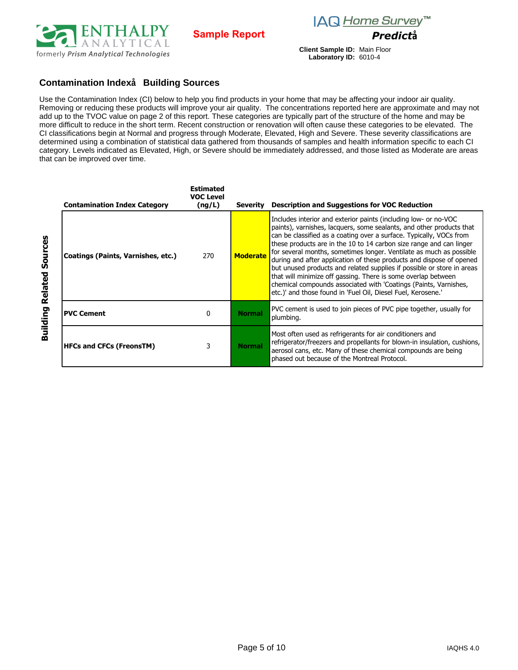



**Client Sample ID:** Main Floor **Laboratory ID:** 6010-4

## **Contamination Index**<sup>1</sup> Building Sources

Use the Contamination Index (CI) below to help you find products in your home that may be affecting your indoor air quality. Removing or reducing these products will improve your air quality. The concentrations reported here are approximate and may not add up to the TVOC value on page 2 of this report. These categories are typically part of the structure of the home and may be more difficult to reduce in the short term. Recent construction or renovation will often cause these categories to be elevated. The CI classifications begin at Normal and progress through Moderate, Elevated, High and Severe. These severity classifications are determined using a combination of statistical data gathered from thousands of samples and health information specific to each CI category. Levels indicated as Elevated, High, or Severe should be immediately addressed, and those listed as Moderate are areas that can be improved over time.

| Contamination Index Category       | Estimated<br>VOC Level<br>(nq/L) | Severitv        | Description and Suggestions for VOC Reduction                                                                                                                                                                                                                                                                                                                                                                                                                                                                                                                                                                                                                                                                       |  |
|------------------------------------|----------------------------------|-----------------|---------------------------------------------------------------------------------------------------------------------------------------------------------------------------------------------------------------------------------------------------------------------------------------------------------------------------------------------------------------------------------------------------------------------------------------------------------------------------------------------------------------------------------------------------------------------------------------------------------------------------------------------------------------------------------------------------------------------|--|
| Coatings (Paints, Varnishes, etc.) | 270                              | <b>Moderate</b> | Includes interior and exterior paints (including low- or no-VOC<br>paints), varnishes, lacquers, some sealants, and other products that<br>can be classified as a coating over a surface. Typically, VOCs from<br>these products are in the 10 to 14 carbon size range and can linger<br>for several months, sometimes longer. Ventilate as much as possible<br>during and after application of these products and dispose of opened<br>but unused products and related supplies if possible or store in areas<br>that will minimize off gassing. There is some overlap between<br>chemical compounds associated with 'Coatings (Paints, Varnishes,<br>etc.)' and those found in 'Fuel Oil, Diesel Fuel, Kerosene.' |  |
| <b>PVC Cement</b>                  | 0                                | <b>Normal</b>   | PVC cement is used to join pieces of PVC pipe together, usually for<br>plumbing.                                                                                                                                                                                                                                                                                                                                                                                                                                                                                                                                                                                                                                    |  |
| HFCs and CFCs (FreonsTM)           | 3                                | <b>Norma</b>    | Most often used as refrigerants for air conditioners and<br>refrigerator/freezers and propellants for blown-in insulation, cushions,<br>aerosol cans, etc. Many of these chemical compounds are being<br>phased out because of the Montreal Protocol.                                                                                                                                                                                                                                                                                                                                                                                                                                                               |  |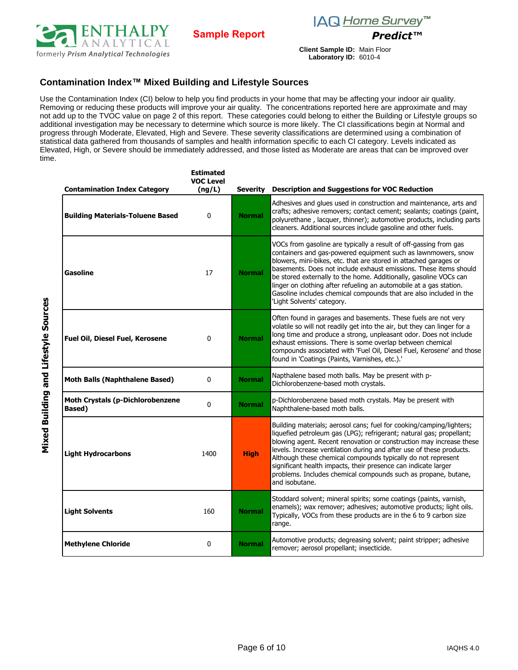





**Client Sample ID:** Main Floor **Laboratory ID:** 6010-4

# **Contamination Index™ Mixed Building and Lifestyle Sources**

Use the Contamination Index (CI) below to help you find products in your home that may be affecting your indoor air quality. Removing or reducing these products will improve your air quality. The concentrations reported here are approximate and may not add up to the TVOC value on page 2 of this report. These categories could belong to either the Building or Lifestyle groups so additional investigation may be necessary to determine which source is more likely. The CI classifications begin at Normal and progress through Moderate, Elevated, High and Severe. These severity classifications are determined using a combination of statistical data gathered from thousands of samples and health information specific to each CI category. Levels indicated as Elevated, High, or Severe should be immediately addressed, and those listed as Moderate are areas that can be improved over time.

| <b>Contamination Index Category</b>                       | <b>Estimated</b><br><b>VOC Level</b><br>(ng/L) | Severity      | <b>Description and Suggestions for VOC Reduction</b>                                                                                                                                                                                                                                                                                                                                                                                                                                                                       |
|-----------------------------------------------------------|------------------------------------------------|---------------|----------------------------------------------------------------------------------------------------------------------------------------------------------------------------------------------------------------------------------------------------------------------------------------------------------------------------------------------------------------------------------------------------------------------------------------------------------------------------------------------------------------------------|
| <b>Building Materials-Toluene Based</b>                   | 0                                              | <b>Normal</b> | Adhesives and glues used in construction and maintenance, arts and<br>crafts; adhesive removers; contact cement; sealants; coatings (paint,<br>polyurethane, lacquer, thinner); automotive products, including parts<br>cleaners. Additional sources include gasoline and other fuels.                                                                                                                                                                                                                                     |
| Gasoline                                                  | 17                                             | <b>Normal</b> | VOCs from gasoline are typically a result of off-gassing from gas<br>containers and gas-powered equipment such as lawnmowers, snow<br>blowers, mini-bikes, etc. that are stored in attached garages or<br>basements. Does not include exhaust emissions. These items should<br>be stored externally to the home. Additionally, gasoline VOCs can<br>linger on clothing after refueling an automobile at a gas station.<br>Gasoline includes chemical compounds that are also included in the<br>'Light Solvents' category. |
| Fuel Oil, Diesel Fuel, Kerosene                           | $\mathbf 0$                                    | <b>Normal</b> | Often found in garages and basements. These fuels are not very<br>volatile so will not readily get into the air, but they can linger for a<br>long time and produce a strong, unpleasant odor. Does not include<br>exhaust emissions. There is some overlap between chemical<br>compounds associated with 'Fuel Oil, Diesel Fuel, Kerosene' and those<br>found in 'Coatings (Paints, Varnishes, etc.).'                                                                                                                    |
| <b>Moth Balls (Naphthalene Based)</b>                     | $\mathbf{0}$                                   | <b>Normal</b> | Napthalene based moth balls. May be present with p-<br>Dichlorobenzene-based moth crystals.                                                                                                                                                                                                                                                                                                                                                                                                                                |
| <b>Moth Crystals (p-Dichlorobenzene</b><br><b>Based</b> ) | 0                                              | <b>Normal</b> | p-Dichlorobenzene based moth crystals. May be present with<br>Naphthalene-based moth balls.                                                                                                                                                                                                                                                                                                                                                                                                                                |
| <b>Light Hydrocarbons</b>                                 | 1400                                           | <b>High</b>   | Building materials; aerosol cans; fuel for cooking/camping/lighters;<br>liquefied petroleum gas (LPG); refrigerant; natural gas; propellant;<br>blowing agent. Recent renovation or construction may increase these<br>levels. Increase ventilation during and after use of these products.<br>Although these chemical compounds typically do not represent<br>significant health impacts, their presence can indicate larger<br>problems. Includes chemical compounds such as propane, butane,<br>and isobutane.          |
| <b>Light Solvents</b>                                     | 160                                            | <b>Normal</b> | Stoddard solvent; mineral spirits; some coatings (paints, varnish,<br>enamels); wax remover; adhesives; automotive products; light oils.<br>Typically, VOCs from these products are in the 6 to 9 carbon size<br>range.                                                                                                                                                                                                                                                                                                    |
| <b>Methylene Chloride</b>                                 | 0                                              | <b>Normal</b> | Automotive products; degreasing solvent; paint stripper; adhesive<br>remover; aerosol propellant; insecticide.                                                                                                                                                                                                                                                                                                                                                                                                             |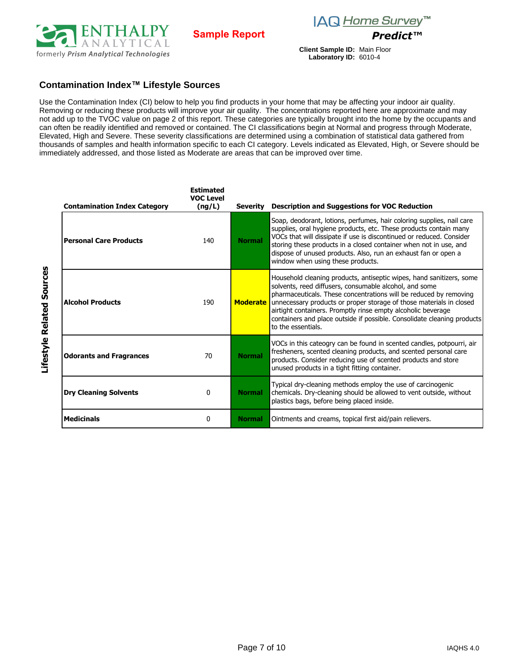



**Client Sample ID:** Main Floor **Laboratory ID:** 6010-4

### **Contamination Index™ Lifestyle Sources**

Use the Contamination Index (CI) below to help you find products in your home that may be affecting your indoor air quality. Removing or reducing these products will improve your air quality. The concentrations reported here are approximate and may not add up to the TVOC value on page 2 of this report. These categories are typically brought into the home by the occupants and can often be readily identified and removed or contained. The CI classifications begin at Normal and progress through Moderate, Elevated, High and Severe. These severity classifications are determined using a combination of statistical data gathered from thousands of samples and health information specific to each CI category. Levels indicated as Elevated, High, or Severe should be immediately addressed, and those listed as Moderate are areas that can be improved over time.

| <b>Contamination Index Category</b> | <b>Estimated</b><br><b>VOC Level</b><br>(ng/L) | Severity        | <b>Description and Suggestions for VOC Reduction</b>                                                                                                                                                                                                                                                                                                                                                                                        |
|-------------------------------------|------------------------------------------------|-----------------|---------------------------------------------------------------------------------------------------------------------------------------------------------------------------------------------------------------------------------------------------------------------------------------------------------------------------------------------------------------------------------------------------------------------------------------------|
| <b>Personal Care Products</b>       | 140                                            | <b>Normal</b>   | Soap, deodorant, lotions, perfumes, hair coloring supplies, nail care<br>supplies, oral hygiene products, etc. These products contain many<br>VOCs that will dissipate if use is discontinued or reduced. Consider<br>storing these products in a closed container when not in use, and<br>dispose of unused products. Also, run an exhaust fan or open a<br>window when using these products.                                              |
| <b>Alcohol Products</b>             | 190                                            | <b>Moderate</b> | Household cleaning products, antiseptic wipes, hand sanitizers, some<br>solvents, reed diffusers, consumable alcohol, and some<br>pharmaceuticals. These concentrations will be reduced by removing<br>unnecessary products or proper storage of those materials in closed<br>airtight containers. Promptly rinse empty alcoholic beverage<br>containers and place outside if possible. Consolidate cleaning products<br>to the essentials. |
| <b>Odorants and Fragrances</b>      | 70                                             | <b>Normal</b>   | VOCs in this cateogry can be found in scented candles, potpourri, air<br>fresheners, scented cleaning products, and scented personal care<br>products. Consider reducing use of scented products and store<br>unused products in a tight fitting container.                                                                                                                                                                                 |
| <b>Dry Cleaning Solvents</b>        | 0                                              | <b>Normal</b>   | Typical dry-cleaning methods employ the use of carcinogenic<br>chemicals. Dry-cleaning should be allowed to vent outside, without<br>plastics bags, before being placed inside.                                                                                                                                                                                                                                                             |
| <b>Medicinals</b>                   | 0                                              | <b>Normal</b>   | Ointments and creams, topical first aid/pain relievers.                                                                                                                                                                                                                                                                                                                                                                                     |

Lifestyle Related Sources **Lifestyle Related Sources**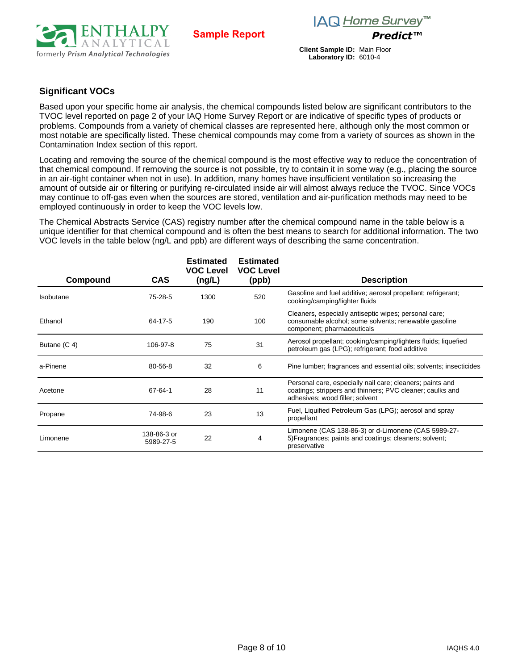

**Client Sample ID:** Main Floor **Laboratory ID:** 6010-4

# **Significant VOCs**

Based upon your specific home air analysis, the chemical compounds listed below are significant contributors to the TVOC level reported on page 2 of your IAQ Home Survey Report or are indicative of specific types of products or problems. Compounds from a variety of chemical classes are represented here, although only the most common or most notable are specifically listed. These chemical compounds may come from a variety of sources as shown in the Contamination Index section of this report.

Locating and removing the source of the chemical compound is the most effective way to reduce the concentration of that chemical compound. If removing the source is not possible, try to contain it in some way (e.g., placing the source in an air-tight container when not in use). In addition, many homes have insufficient ventilation so increasing the amount of outside air or filtering or purifying re-circulated inside air will almost always reduce the TVOC. Since VOCs may continue to off-gas even when the sources are stored, ventilation and air-purification methods may need to be employed continuously in order to keep the VOC levels low.

The Chemical Abstracts Service (CAS) registry number after the chemical compound name in the table below is a unique identifier for that chemical compound and is often the best means to search for additional information. The two VOC levels in the table below (ng/L and ppb) are different ways of describing the same concentration.

| Compound         | <b>CAS</b>               | <b>Estimated</b><br><b>VOC Level</b> | <b>Estimated</b><br><b>VOC Level</b> | <b>Description</b>                                                                                                                                        |
|------------------|--------------------------|--------------------------------------|--------------------------------------|-----------------------------------------------------------------------------------------------------------------------------------------------------------|
|                  |                          | (ng/L)                               | (ppb)                                |                                                                                                                                                           |
| <b>Isobutane</b> | 75-28-5                  | 1300                                 | 520                                  | Gasoline and fuel additive; aerosol propellant; refrigerant;<br>cooking/camping/lighter fluids                                                            |
| Ethanol          | $64 - 17 - 5$            | 190                                  | 100                                  | Cleaners, especially antiseptic wipes; personal care;<br>consumable alcohol; some solvents; renewable gasoline<br>component; pharmaceuticals              |
| Butane (C 4)     | 106-97-8                 | 75                                   | 31                                   | Aerosol propellant; cooking/camping/lighters fluids; liquefied<br>petroleum gas (LPG); refrigerant; food additive                                         |
| a-Pinene         | 80-56-8                  | 32                                   | 6                                    | Pine lumber; fragrances and essential oils; solvents; insecticides                                                                                        |
| Acetone          | 67-64-1                  | 28                                   | 11                                   | Personal care, especially nail care; cleaners; paints and<br>coatings; strippers and thinners; PVC cleaner; caulks and<br>adhesives; wood filler; solvent |
| Propane          | 74-98-6                  | 23                                   | 13                                   | Fuel, Liquified Petroleum Gas (LPG); aerosol and spray<br>propellant                                                                                      |
| Limonene         | 138-86-3 or<br>5989-27-5 | 22                                   | 4                                    | Limonene (CAS 138-86-3) or d-Limonene (CAS 5989-27-<br>5) Fragrances; paints and coatings; cleaners; solvent;<br>preservative                             |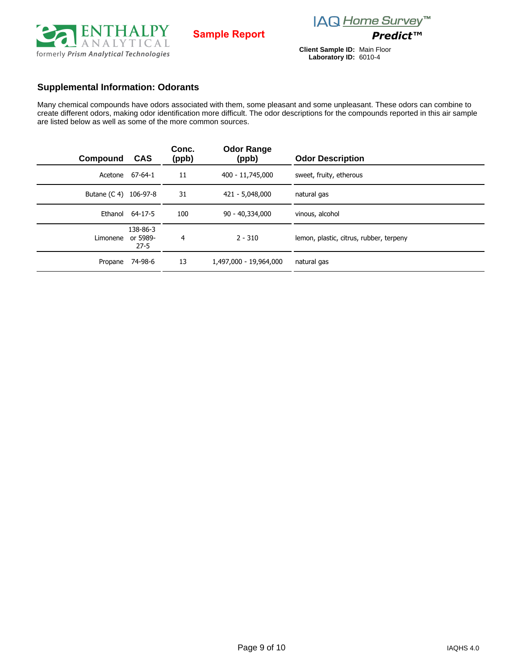

**Client Sample ID: Laboratory ID:** Main Floor 6010-4

#### **Supplemental Information: Odorants**

Many chemical compounds have odors associated with them, some pleasant and some unpleasant. These odors can combine to create different odors, making odor identification more difficult. The odor descriptions for the compounds reported in this air sample are listed below as well as some of the more common sources.

| Compound              | <b>CAS</b>                       | Conc.<br>(ppb) | <b>Odor Range</b><br>(ppb) | <b>Odor Description</b>                 |
|-----------------------|----------------------------------|----------------|----------------------------|-----------------------------------------|
|                       | Acetone 67-64-1                  | 11             | 400 - 11,745,000           | sweet, fruity, etherous                 |
| Butane (C 4) 106-97-8 |                                  | 31             | 421 - 5,048,000            | natural gas                             |
|                       | Ethanol 64-17-5                  | 100            | 90 - 40,334,000            | vinous, alcohol                         |
| Limonene              | 138-86-3<br>or 5989-<br>$27 - 5$ | 4              | $2 - 310$                  | lemon, plastic, citrus, rubber, terpeny |
| Propane               | 74-98-6                          | 13             | 1,497,000 - 19,964,000     | natural gas                             |